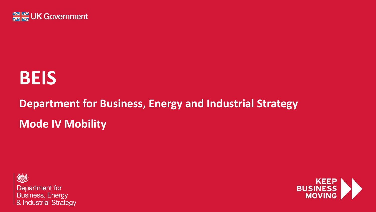

# **BEIS**

## **Department for Business, Energy and Industrial Strategy Mode IV Mobility**



Department for **Business, Energy** & Industrial Strategy

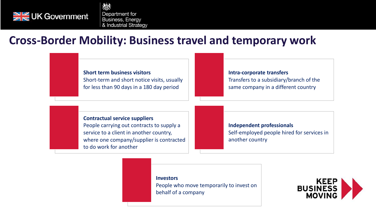

複 Department for **Business, Energy** & Industrial Strategy

### **Cross-Border Mobility: Business travel and temporary work**

#### **Short term business visitors** Short-term and short notice visits, usually for less than 90 days in a 180 day period

#### **Intra-corporate transfers** Transfers to a subsidiary/branch of the same company in a different country

**Contractual service suppliers**

People carrying out contracts to supply a service to a client in another country, where one company/supplier is contracted to do work for another

**Independent professionals** Self-employed people hired for services in another country

**Investors**

People who move temporarily to invest on behalf of a company

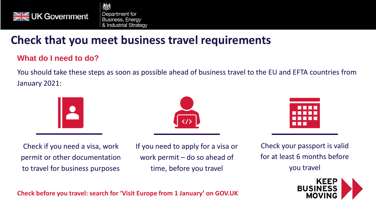

複 Department for **Business, Energy** & Industrial Strategy

## **Check that you meet business travel requirements**

#### **What do I need to do?**

[You should take these steps as soon as possible ahead of business travel to the EU and EFTA countries from](https://beisgov.sharepoint.com/sites/beis2/200/Engagement/2020%20Transition/2020%20Transition%20-%20BIRD%20channels/Transition%20Webinars/Webinars/Example%20Speaking%20note%20-%20Digital%20Roadshow%20Script.docx?web=1)  January 2021:





|   | . |  |
|---|---|--|
| . |   |  |
|   |   |  |
| . |   |  |
| . |   |  |
|   |   |  |

Check if you need a visa, work permit or other documentation to travel for business purposes

If you need to apply for a visa or work permit – do so ahead of time, before you travel

Check your passport is valid for at least 6 months before you travel



**Check before you travel: search for 'Visit Europe from 1 January' on GOV.UK**